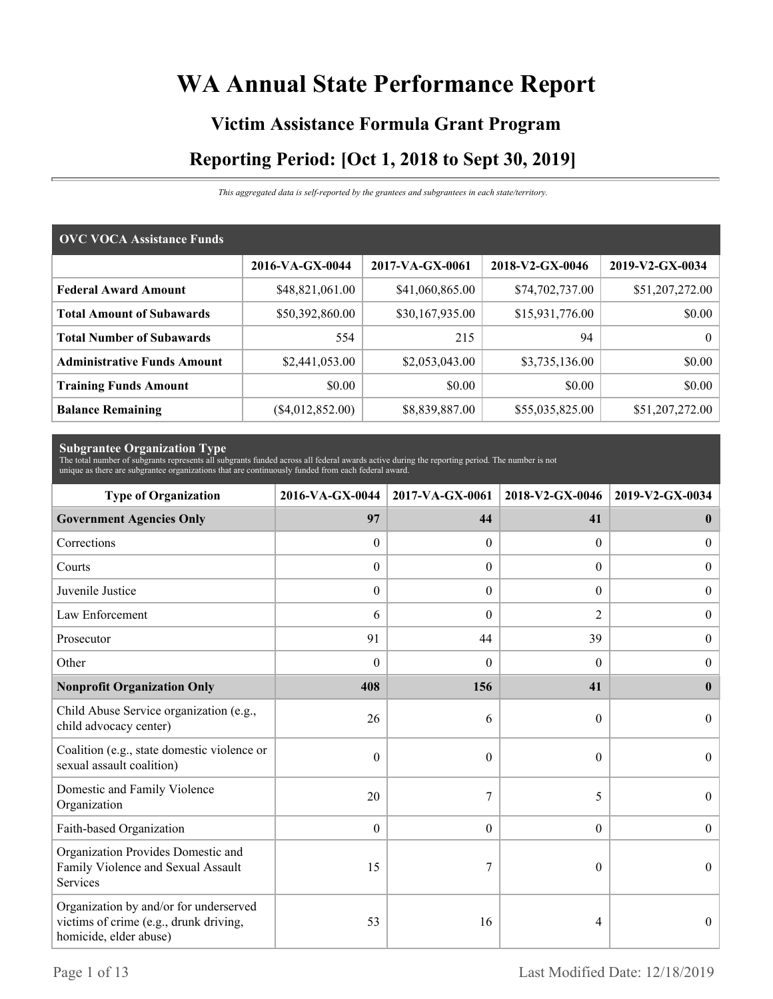# **WA Annual State Performance Report**

# **Victim Assistance Formula Grant Program Reporting Period: [Oct 1, 2018 to Sept 30, 2019]**

*This aggregated data is self-reported by the grantees and subgrantees in each state/territory.*

| <b>OVC VOCA Assistance Funds</b>   |                    |                 |                 |                 |  |  |
|------------------------------------|--------------------|-----------------|-----------------|-----------------|--|--|
|                                    | 2016-VA-GX-0044    | 2017-VA-GX-0061 | 2018-V2-GX-0046 | 2019-V2-GX-0034 |  |  |
| <b>Federal Award Amount</b>        | \$48,821,061.00    | \$41,060,865.00 | \$74,702,737.00 | \$51,207,272.00 |  |  |
| <b>Total Amount of Subawards</b>   | \$50,392,860.00    | \$30,167,935.00 | \$15,931,776.00 | \$0.00          |  |  |
| <b>Total Number of Subawards</b>   | 554                | 215             | 94              | $\overline{0}$  |  |  |
| <b>Administrative Funds Amount</b> | \$2,441,053.00     | \$2,053,043.00  | \$3,735,136.00  | \$0.00          |  |  |
| <b>Training Funds Amount</b>       | \$0.00             | \$0.00          | \$0.00          | \$0.00          |  |  |
| <b>Balance Remaining</b>           | $(\$4,012,852.00)$ | \$8,839,887.00  | \$55,035,825.00 | \$51,207,272.00 |  |  |

**Subgrantee Organization Type** The total number of subgrants represents all subgrants funded across all federal awards active during the reporting period. The number is not unique as there are subgrantee organizations that are continuously funded from each federal award.

| <b>Type of Organization</b>                                                                                | 2016-VA-GX-0044<br>2017-VA-GX-0061 |                  | 2018-V2-GX-0046  | 2019-V2-GX-0034  |
|------------------------------------------------------------------------------------------------------------|------------------------------------|------------------|------------------|------------------|
| <b>Government Agencies Only</b>                                                                            | 97                                 | 44               | 41               | $\bf{0}$         |
| Corrections                                                                                                | $\theta$                           | $\theta$         | $\Omega$         | $\overline{0}$   |
| Courts                                                                                                     | $\boldsymbol{0}$                   | $\Omega$         | $\Omega$         | $\overline{0}$   |
| Juvenile Justice                                                                                           | $\boldsymbol{0}$                   | $\boldsymbol{0}$ | $\boldsymbol{0}$ | $\overline{0}$   |
| Law Enforcement                                                                                            | 6                                  | $\theta$         | $\overline{2}$   | $\boldsymbol{0}$ |
| Prosecutor                                                                                                 | 91                                 | 44               | 39               | $\boldsymbol{0}$ |
| Other                                                                                                      | $\theta$                           | $\Omega$         | $\Omega$         | $\boldsymbol{0}$ |
| <b>Nonprofit Organization Only</b>                                                                         | 408                                | 156              | 41               | $\bf{0}$         |
| Child Abuse Service organization (e.g.,<br>child advocacy center)                                          | 26                                 | 6                | $\theta$         | $\Omega$         |
| Coalition (e.g., state domestic violence or<br>sexual assault coalition)                                   | $\theta$                           | $\theta$         | $\theta$         | $\theta$         |
| Domestic and Family Violence<br>Organization                                                               | 20                                 | 7                | 5                | $\overline{0}$   |
| Faith-based Organization                                                                                   | $\boldsymbol{0}$                   | $\boldsymbol{0}$ | $\overline{0}$   | $\boldsymbol{0}$ |
| Organization Provides Domestic and<br>Family Violence and Sexual Assault<br>Services                       | 15                                 | 7                | $\theta$         | $\theta$         |
| Organization by and/or for underserved<br>victims of crime (e.g., drunk driving,<br>homicide, elder abuse) | 53                                 | 16               | 4                | $\overline{0}$   |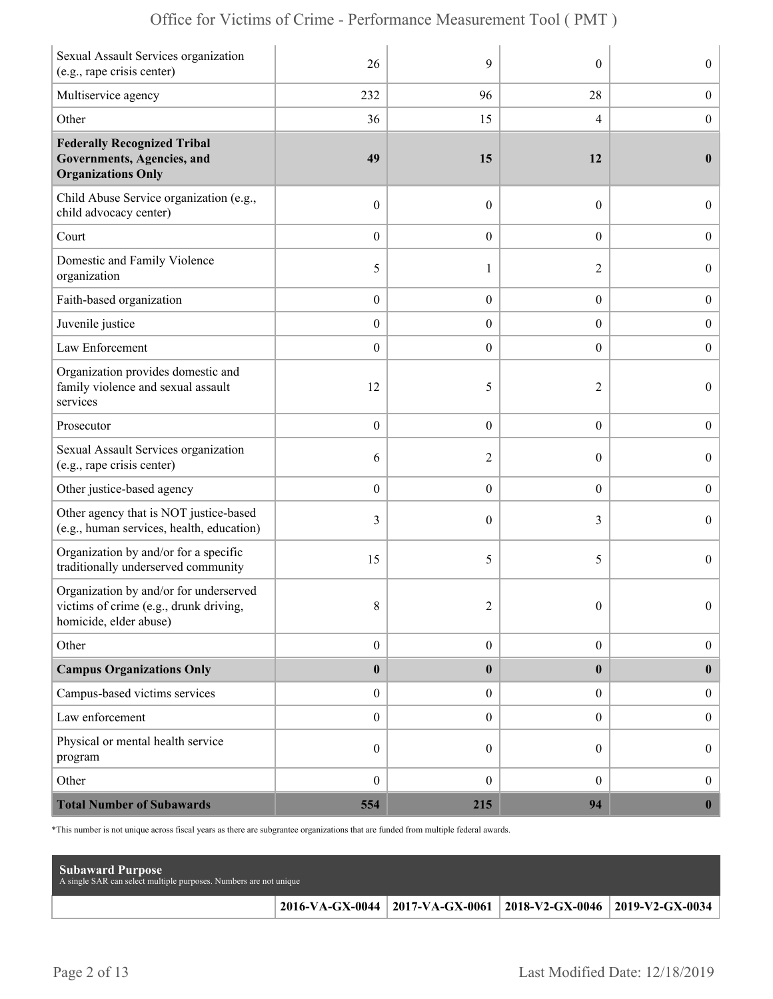|  | Office for Victims of Crime - Performance Measurement Tool (PMT) |  |  |  |  |
|--|------------------------------------------------------------------|--|--|--|--|
|--|------------------------------------------------------------------|--|--|--|--|

| Sexual Assault Services organization<br>(e.g., rape crisis center)                                         | 26               | 9                | $\theta$         | $\boldsymbol{0}$ |
|------------------------------------------------------------------------------------------------------------|------------------|------------------|------------------|------------------|
| Multiservice agency                                                                                        | 232              | 96               | 28               | $\boldsymbol{0}$ |
| Other                                                                                                      | 36               | 15               | 4                | $\boldsymbol{0}$ |
| <b>Federally Recognized Tribal</b><br><b>Governments, Agencies, and</b><br><b>Organizations Only</b>       | 49               | 15               | 12               | $\bf{0}$         |
| Child Abuse Service organization (e.g.,<br>child advocacy center)                                          | $\boldsymbol{0}$ | $\mathbf{0}$     | $\boldsymbol{0}$ | $\overline{0}$   |
| Court                                                                                                      | $\boldsymbol{0}$ | $\theta$         | $\boldsymbol{0}$ | $\boldsymbol{0}$ |
| Domestic and Family Violence<br>organization                                                               | 5                | 1                | $\overline{2}$   | $\boldsymbol{0}$ |
| Faith-based organization                                                                                   | $\boldsymbol{0}$ | $\boldsymbol{0}$ | $\boldsymbol{0}$ | $\boldsymbol{0}$ |
| Juvenile justice                                                                                           | $\boldsymbol{0}$ | $\overline{0}$   | $\overline{0}$   | $\boldsymbol{0}$ |
| Law Enforcement                                                                                            | $\boldsymbol{0}$ | $\boldsymbol{0}$ | $\boldsymbol{0}$ | $\boldsymbol{0}$ |
| Organization provides domestic and<br>family violence and sexual assault<br>services                       | 12               | 5                | 2                | $\overline{0}$   |
| Prosecutor                                                                                                 | $\boldsymbol{0}$ | $\mathbf{0}$     | $\boldsymbol{0}$ | $\boldsymbol{0}$ |
| Sexual Assault Services organization<br>(e.g., rape crisis center)                                         | 6                | $\overline{2}$   | $\theta$         | $\boldsymbol{0}$ |
| Other justice-based agency                                                                                 | $\boldsymbol{0}$ | $\boldsymbol{0}$ | $\boldsymbol{0}$ | $\boldsymbol{0}$ |
| Other agency that is NOT justice-based<br>(e.g., human services, health, education)                        | 3                | $\theta$         | 3                | $\boldsymbol{0}$ |
| Organization by and/or for a specific<br>traditionally underserved community                               | 15               | 5                | 5                | $\overline{0}$   |
| Organization by and/or for underserved<br>victims of crime (e.g., drunk driving,<br>homicide, elder abuse) | 8                | $\overline{2}$   | $\boldsymbol{0}$ | $\Omega$         |
| Other                                                                                                      | $\boldsymbol{0}$ | $\boldsymbol{0}$ | $\overline{0}$   | $\boldsymbol{0}$ |
| <b>Campus Organizations Only</b>                                                                           | $\bf{0}$         | $\boldsymbol{0}$ | $\bf{0}$         | $\mathbf{0}$     |
| Campus-based victims services                                                                              | $\boldsymbol{0}$ | $\boldsymbol{0}$ | $\overline{0}$   | $\boldsymbol{0}$ |
| Law enforcement                                                                                            | $\boldsymbol{0}$ | $\boldsymbol{0}$ | $\overline{0}$   | $\boldsymbol{0}$ |
| Physical or mental health service<br>program                                                               | $\boldsymbol{0}$ | $\theta$         | $\boldsymbol{0}$ | $\boldsymbol{0}$ |
| Other                                                                                                      | $\boldsymbol{0}$ | $\boldsymbol{0}$ | $\overline{0}$   | $\boldsymbol{0}$ |
| <b>Total Number of Subawards</b>                                                                           | 554              | 215              | 94               | $\boldsymbol{0}$ |

\*This number is not unique across fiscal years as there are subgrantee organizations that are funded from multiple federal awards.

| <b>Subaward Purpose</b><br>A single SAR can select multiple purposes. Numbers are not unique |                                                                 |  |
|----------------------------------------------------------------------------------------------|-----------------------------------------------------------------|--|
|                                                                                              | 2016-VA-GX-0044 2017-VA-GX-0061 2018-V2-GX-0046 2019-V2-GX-0034 |  |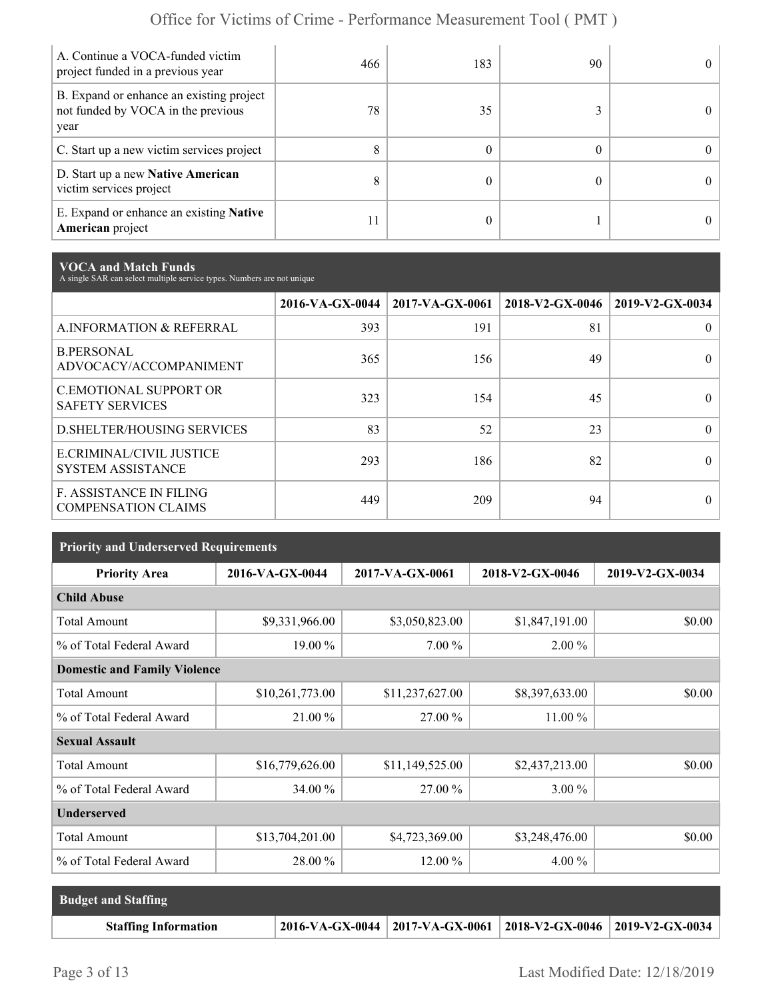| A. Continue a VOCA-funded victim<br>project funded in a previous year                  | 466 | 183 | 90 | 0          |
|----------------------------------------------------------------------------------------|-----|-----|----|------------|
| B. Expand or enhance an existing project<br>not funded by VOCA in the previous<br>year | 78  | 35  |    |            |
| C. Start up a new victim services project                                              | 8   |     |    | $^{\circ}$ |
| D. Start up a new Native American<br>victim services project                           | 8   |     |    | $^{\circ}$ |
| E. Expand or enhance an existing <b>Native</b><br>American project                     | 11  |     |    |            |

**VOCA and Match Funds** A single SAR can select multiple service types. Numbers are not unique

|                                                              | 2016-VA-GX-0044 | 2017-VA-GX-0061 | 2018-V2-GX-0046 | 2019-V2-GX-0034 |
|--------------------------------------------------------------|-----------------|-----------------|-----------------|-----------------|
| A.INFORMATION & REFERRAL                                     | 393             | 191             | 81              | 0               |
| <b>B.PERSONAL</b><br>ADVOCACY/ACCOMPANIMENT                  | 365             | 156             | 49              | 0               |
| <b>C.EMOTIONAL SUPPORT OR</b><br><b>SAFETY SERVICES</b>      | 323             | 154             | 45              |                 |
| <b>D.SHELTER/HOUSING SERVICES</b>                            | 83              | 52              | 23              | 0               |
| E.CRIMINAL/CIVIL JUSTICE<br><b>SYSTEM ASSISTANCE</b>         | 293             | 186             | 82              |                 |
| <b>F. ASSISTANCE IN FILING</b><br><b>COMPENSATION CLAIMS</b> | 449             | 209             | 94              | $\theta$        |

| <b>Priority and Underserved Requirements</b> |                 |                 |                 |                 |  |
|----------------------------------------------|-----------------|-----------------|-----------------|-----------------|--|
| <b>Priority Area</b>                         | 2016-VA-GX-0044 | 2017-VA-GX-0061 | 2018-V2-GX-0046 | 2019-V2-GX-0034 |  |
| <b>Child Abuse</b>                           |                 |                 |                 |                 |  |
| <b>Total Amount</b>                          | \$9,331,966.00  | \$3,050,823.00  | \$1,847,191.00  | \$0.00          |  |
| % of Total Federal Award                     | 19.00 %         | 7.00 %          | 2.00 %          |                 |  |
| <b>Domestic and Family Violence</b>          |                 |                 |                 |                 |  |
| <b>Total Amount</b>                          | \$10,261,773.00 | \$11,237,627.00 | \$8,397,633.00  | \$0.00          |  |
| % of Total Federal Award                     | 21.00 %         | 27.00 %         | $11.00\%$       |                 |  |
| <b>Sexual Assault</b>                        |                 |                 |                 |                 |  |
| <b>Total Amount</b>                          | \$16,779,626.00 | \$11,149,525.00 | \$2,437,213.00  | \$0.00          |  |
| % of Total Federal Award                     | 34.00 %         | 27.00 %         | 3.00 %          |                 |  |
| <b>Underserved</b>                           |                 |                 |                 |                 |  |
| <b>Total Amount</b>                          | \$13,704,201.00 | \$4,723,369.00  | \$3,248,476.00  | \$0.00          |  |
| % of Total Federal Award                     | 28.00 %         | $12.00\%$       | $4.00\%$        |                 |  |

| <b>Budget and Staffing</b>  |                                                                 |  |
|-----------------------------|-----------------------------------------------------------------|--|
| <b>Staffing Information</b> | 2016-VA-GX-0044 2017-VA-GX-0061 2018-V2-GX-0046 2019-V2-GX-0034 |  |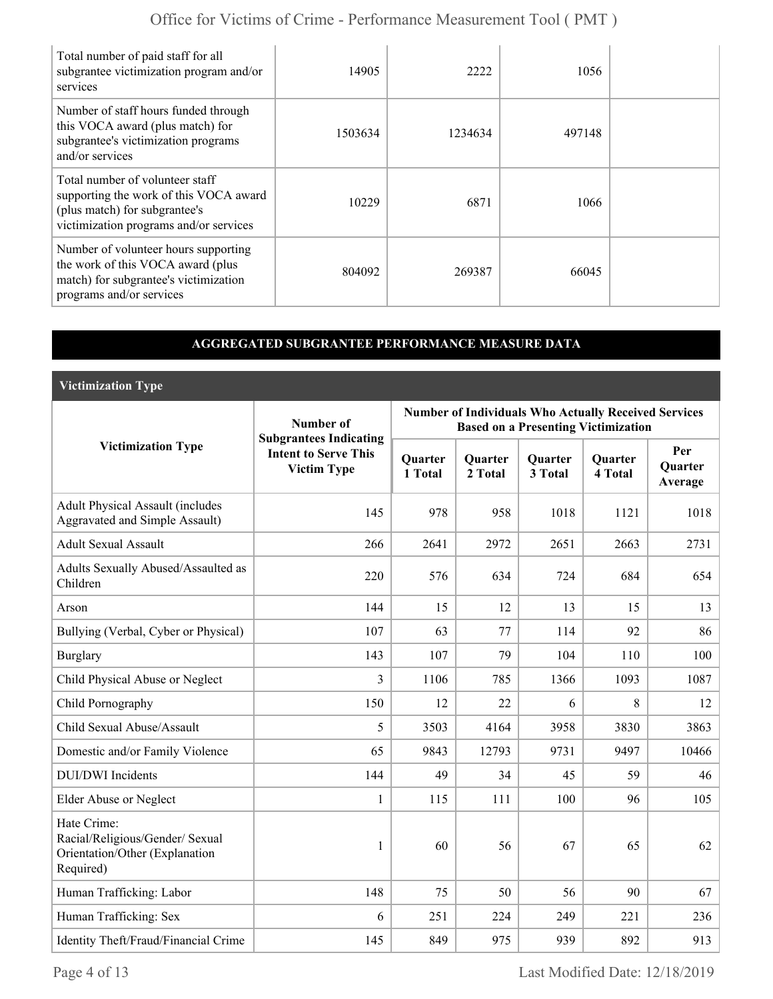| Total number of paid staff for all<br>subgrantee victimization program and/or<br>services                                                            | 14905   | 2222    | 1056   |  |
|------------------------------------------------------------------------------------------------------------------------------------------------------|---------|---------|--------|--|
| Number of staff hours funded through<br>this VOCA award (plus match) for<br>subgrantee's victimization programs<br>and/or services                   | 1503634 | 1234634 | 497148 |  |
| Total number of volunteer staff<br>supporting the work of this VOCA award<br>(plus match) for subgrantee's<br>victimization programs and/or services | 10229   | 6871    | 1066   |  |
| Number of volunteer hours supporting<br>the work of this VOCA award (plus<br>match) for subgrantee's victimization<br>programs and/or services       | 804092  | 269387  | 66045  |  |

### **AGGREGATED SUBGRANTEE PERFORMANCE MEASURE DATA**

**Victimization Type**

|                                                                                               | Number of                                                                          |                           |                           |                           | <b>Number of Individuals Who Actually Received Services</b><br><b>Based on a Presenting Victimization</b> |                                  |
|-----------------------------------------------------------------------------------------------|------------------------------------------------------------------------------------|---------------------------|---------------------------|---------------------------|-----------------------------------------------------------------------------------------------------------|----------------------------------|
| <b>Victimization Type</b>                                                                     | <b>Subgrantees Indicating</b><br><b>Intent to Serve This</b><br><b>Victim Type</b> | <b>Quarter</b><br>1 Total | <b>Quarter</b><br>2 Total | <b>Quarter</b><br>3 Total | <b>Quarter</b><br>4 Total                                                                                 | Per<br><b>Quarter</b><br>Average |
| <b>Adult Physical Assault (includes</b><br><b>Aggravated and Simple Assault)</b>              | 145                                                                                | 978                       | 958                       | 1018                      | 1121                                                                                                      | 1018                             |
| <b>Adult Sexual Assault</b>                                                                   | 266                                                                                | 2641                      | 2972                      | 2651                      | 2663                                                                                                      | 2731                             |
| Adults Sexually Abused/Assaulted as<br>Children                                               | 220                                                                                | 576                       | 634                       | 724                       | 684                                                                                                       | 654                              |
| Arson                                                                                         | 144                                                                                | 15                        | 12                        | 13                        | 15                                                                                                        | 13                               |
| Bullying (Verbal, Cyber or Physical)                                                          | 107                                                                                | 63                        | 77                        | 114                       | 92                                                                                                        | 86                               |
| <b>Burglary</b>                                                                               | 143                                                                                | 107                       | 79                        | 104                       | 110                                                                                                       | 100                              |
| Child Physical Abuse or Neglect                                                               | 3                                                                                  | 1106                      | 785                       | 1366                      | 1093                                                                                                      | 1087                             |
| Child Pornography                                                                             | 150                                                                                | 12                        | 22                        | 6                         | 8                                                                                                         | 12                               |
| Child Sexual Abuse/Assault                                                                    | 5                                                                                  | 3503                      | 4164                      | 3958                      | 3830                                                                                                      | 3863                             |
| Domestic and/or Family Violence                                                               | 65                                                                                 | 9843                      | 12793                     | 9731                      | 9497                                                                                                      | 10466                            |
| <b>DUI/DWI</b> Incidents                                                                      | 144                                                                                | 49                        | 34                        | 45                        | 59                                                                                                        | 46                               |
| Elder Abuse or Neglect                                                                        | 1                                                                                  | 115                       | 111                       | 100                       | 96                                                                                                        | 105                              |
| Hate Crime:<br>Racial/Religious/Gender/ Sexual<br>Orientation/Other (Explanation<br>Required) | 1                                                                                  | 60                        | 56                        | 67                        | 65                                                                                                        | 62                               |
| Human Trafficking: Labor                                                                      | 148                                                                                | 75                        | 50                        | 56                        | 90                                                                                                        | 67                               |
| Human Trafficking: Sex                                                                        | 6                                                                                  | 251                       | 224                       | 249                       | 221                                                                                                       | 236                              |
| Identity Theft/Fraud/Financial Crime                                                          | 145                                                                                | 849                       | 975                       | 939                       | 892                                                                                                       | 913                              |

Page 4 of 13 Last Modified Date: 12/18/2019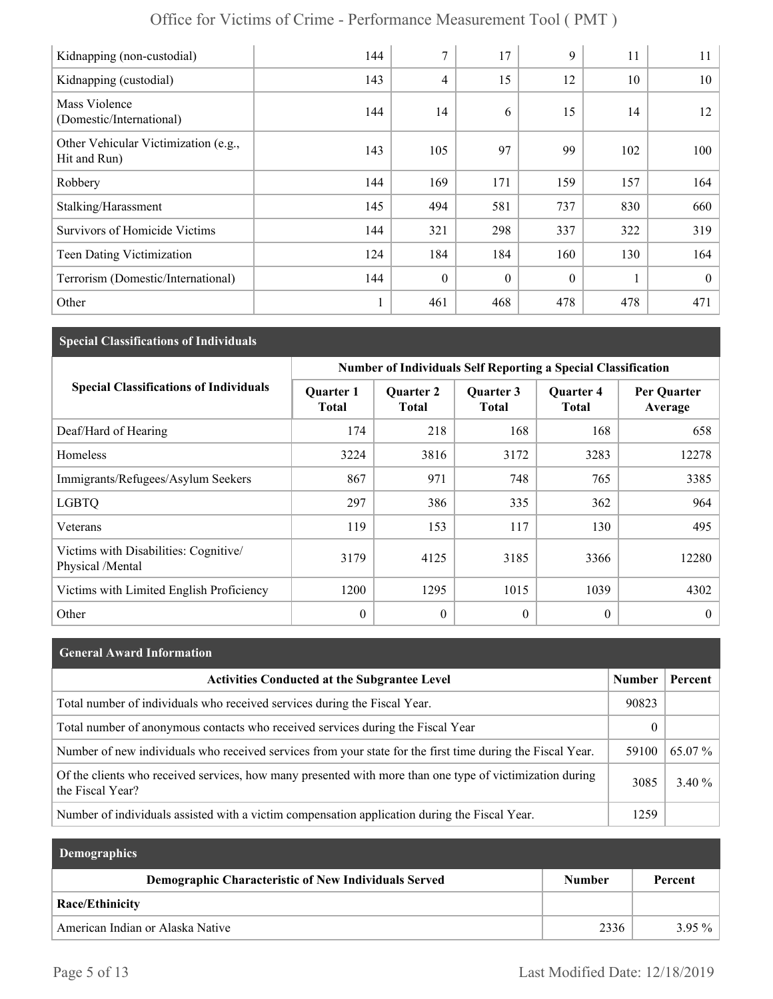| Office for Victims of Crime - Performance Measurement Tool (PMT) |  |
|------------------------------------------------------------------|--|
|------------------------------------------------------------------|--|

| Kidnapping (non-custodial)                           | 144 | 7                | 17       | 9        | 11  | 11       |
|------------------------------------------------------|-----|------------------|----------|----------|-----|----------|
| Kidnapping (custodial)                               | 143 | 4                | 15       | 12       | 10  | 10       |
| Mass Violence<br>(Domestic/International)            | 144 | 14               | 6        | 15       | 14  | 12       |
| Other Vehicular Victimization (e.g.,<br>Hit and Run) | 143 | 105              | 97       | 99       | 102 | 100      |
| Robbery                                              | 144 | 169              | 171      | 159      | 157 | 164      |
| Stalking/Harassment                                  | 145 | 494              | 581      | 737      | 830 | 660      |
| <b>Survivors of Homicide Victims</b>                 | 144 | 321              | 298      | 337      | 322 | 319      |
| Teen Dating Victimization                            | 124 | 184              | 184      | 160      | 130 | 164      |
| Terrorism (Domestic/International)                   | 144 | $\boldsymbol{0}$ | $\theta$ | $\theta$ |     | $\theta$ |
| Other                                                |     | 461              | 468      | 478      | 478 | 471      |

## **Special Classifications of Individuals**

|                                                          | <b>Number of Individuals Self Reporting a Special Classification</b> |                                  |                           |                                  |                        |  |
|----------------------------------------------------------|----------------------------------------------------------------------|----------------------------------|---------------------------|----------------------------------|------------------------|--|
| <b>Special Classifications of Individuals</b>            | <b>Quarter 1</b><br><b>Total</b>                                     | <b>Quarter 2</b><br><b>Total</b> | Quarter 3<br><b>Total</b> | <b>Quarter 4</b><br><b>Total</b> | Per Quarter<br>Average |  |
| Deaf/Hard of Hearing                                     | 174                                                                  | 218                              | 168                       | 168                              | 658                    |  |
| <b>Homeless</b>                                          | 3224                                                                 | 3816                             | 3172                      | 3283                             | 12278                  |  |
| Immigrants/Refugees/Asylum Seekers                       | 867                                                                  | 971                              | 748                       | 765                              | 3385                   |  |
| <b>LGBTQ</b>                                             | 297                                                                  | 386                              | 335                       | 362                              | 964                    |  |
| Veterans                                                 | 119                                                                  | 153                              | 117                       | 130                              | 495                    |  |
| Victims with Disabilities: Cognitive<br>Physical /Mental | 3179                                                                 | 4125                             | 3185                      | 3366                             | 12280                  |  |
| Victims with Limited English Proficiency                 | 1200                                                                 | 1295                             | 1015                      | 1039                             | 4302                   |  |
| Other                                                    | $\mathbf{0}$                                                         | $\mathbf{0}$                     | $\theta$                  | $\boldsymbol{0}$                 | $\theta$               |  |

| <b>General Award Information</b>                                                                                             |               |           |
|------------------------------------------------------------------------------------------------------------------------------|---------------|-----------|
| <b>Activities Conducted at the Subgrantee Level</b>                                                                          | <b>Number</b> | Percent   |
| Total number of individuals who received services during the Fiscal Year.                                                    | 90823         |           |
| Total number of anonymous contacts who received services during the Fiscal Year                                              |               |           |
| Number of new individuals who received services from your state for the first time during the Fiscal Year.                   | 59100         | 65.07 %   |
| Of the clients who received services, how many presented with more than one type of victimization during<br>the Fiscal Year? | 3085          | 3.40 $\%$ |
| Number of individuals assisted with a victim compensation application during the Fiscal Year.                                | 1259          |           |

| <b>Demographics</b>                                         |               |          |
|-------------------------------------------------------------|---------------|----------|
| <b>Demographic Characteristic of New Individuals Served</b> | <b>Number</b> | Percent  |
| <b>Race/Ethinicity</b>                                      |               |          |
| American Indian or Alaska Native                            | 2336          | $3.95\%$ |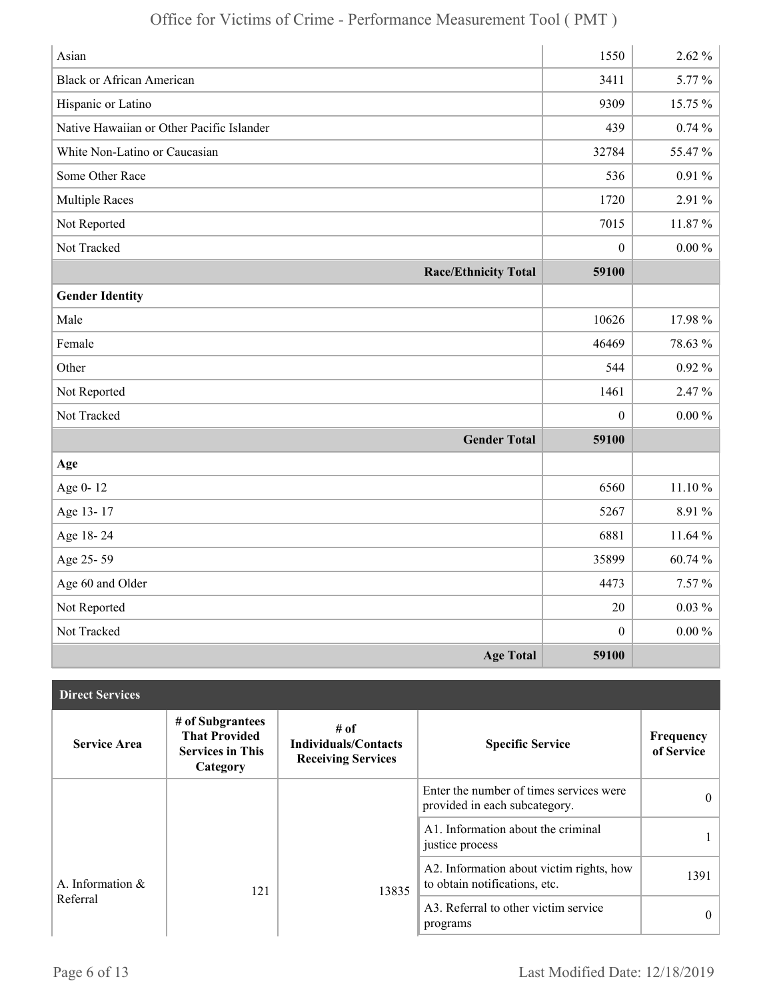| Asian                                     | 1550             | $2.62\%$   |
|-------------------------------------------|------------------|------------|
| <b>Black or African American</b>          | 3411             | 5.77 %     |
| Hispanic or Latino                        | 9309             | 15.75 %    |
| Native Hawaiian or Other Pacific Islander | 439              | 0.74%      |
| White Non-Latino or Caucasian             | 32784            | 55.47 %    |
| Some Other Race                           | 536              | $0.91\,\%$ |
| <b>Multiple Races</b>                     | 1720             | 2.91 %     |
| Not Reported                              | 7015             | 11.87%     |
| Not Tracked                               | $\boldsymbol{0}$ | $0.00\,\%$ |
| <b>Race/Ethnicity Total</b>               | 59100            |            |
| <b>Gender Identity</b>                    |                  |            |
| Male                                      | 10626            | 17.98%     |
| Female                                    | 46469            | 78.63 %    |
| Other                                     | 544              | $0.92\%$   |
| Not Reported                              | 1461             | 2.47 %     |
| Not Tracked                               | $\boldsymbol{0}$ | $0.00 \%$  |
| <b>Gender Total</b>                       | 59100            |            |
| Age                                       |                  |            |
| Age 0-12                                  | 6560             | 11.10 %    |
| Age 13-17                                 | 5267             | 8.91%      |
| Age 18-24                                 | 6881             | 11.64 %    |
| Age 25-59                                 | 35899            | $60.74~\%$ |
| Age 60 and Older                          | 4473             | $7.57\%$   |
| Not Reported                              | 20               | $0.03\%$   |
| Not Tracked                               | $\boldsymbol{0}$ | $0.00 \%$  |
| <b>Age Total</b>                          | 59100            |            |

| <b>Direct Services</b> |                                                                                 |                                                                  |                                                                           |                         |
|------------------------|---------------------------------------------------------------------------------|------------------------------------------------------------------|---------------------------------------------------------------------------|-------------------------|
| <b>Service Area</b>    | # of Subgrantees<br><b>That Provided</b><br><b>Services in This</b><br>Category | # of<br><b>Individuals/Contacts</b><br><b>Receiving Services</b> | <b>Specific Service</b>                                                   | Frequency<br>of Service |
|                        |                                                                                 |                                                                  | Enter the number of times services were<br>provided in each subcategory.  | $\theta$                |
|                        |                                                                                 |                                                                  | A1. Information about the criminal<br>justice process                     |                         |
| A. Information $\&$    | 121                                                                             | 13835                                                            | A2. Information about victim rights, how<br>to obtain notifications, etc. | 1391                    |
| Referral               |                                                                                 |                                                                  | A3. Referral to other victim service<br>programs                          | $\theta$                |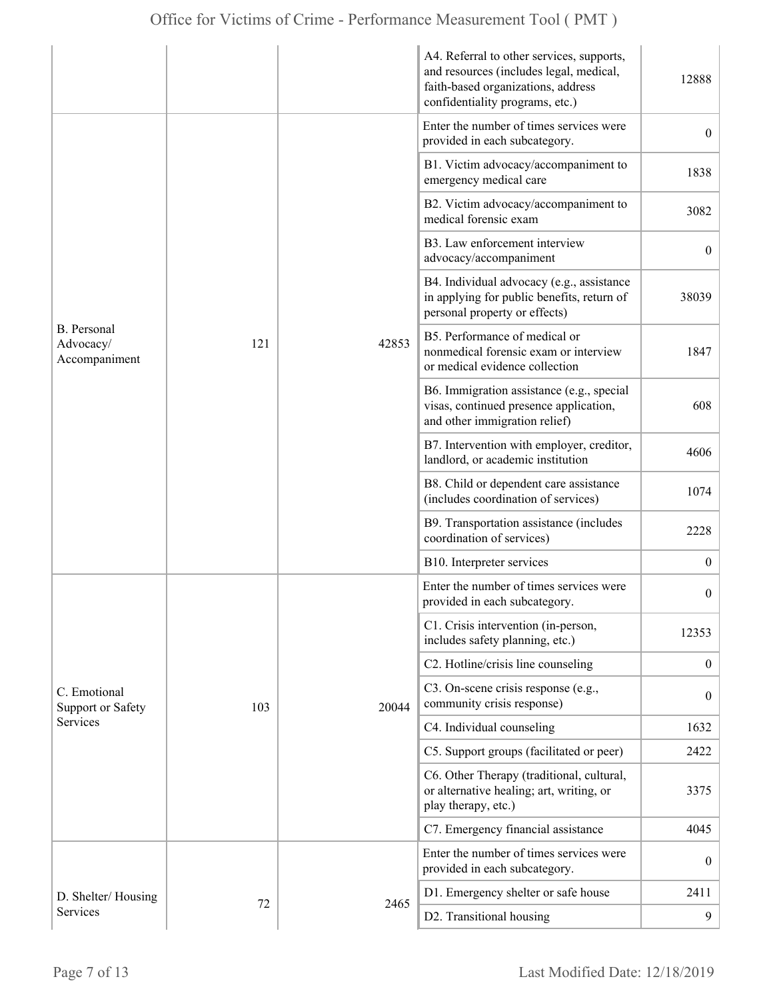| Enter the number of times services were<br>$\overline{0}$<br>provided in each subcategory.<br>B1. Victim advocacy/accompaniment to<br>1838<br>emergency medical care<br>B2. Victim advocacy/accompaniment to<br>3082<br>medical forensic exam<br>B3. Law enforcement interview<br>$\overline{0}$<br>advocacy/accompaniment<br>B4. Individual advocacy (e.g., assistance<br>38039<br>in applying for public benefits, return of<br>personal property or effects)<br>B. Personal<br>B5. Performance of medical or<br>Advocacy/<br>121<br>42853<br>nonmedical forensic exam or interview<br>1847<br>Accompaniment<br>or medical evidence collection<br>B6. Immigration assistance (e.g., special<br>visas, continued presence application,<br>608<br>and other immigration relief)<br>B7. Intervention with employer, creditor,<br>4606<br>landlord, or academic institution<br>B8. Child or dependent care assistance<br>1074<br>(includes coordination of services)<br>B9. Transportation assistance (includes<br>2228<br>coordination of services)<br>B10. Interpreter services<br>$\mathbf{0}$<br>Enter the number of times services were<br>$\boldsymbol{0}$<br>provided in each subcategory.<br>C1. Crisis intervention (in-person,<br>12353<br>includes safety planning, etc.)<br>C2. Hotline/crisis line counseling<br>$\overline{0}$<br>C3. On-scene crisis response (e.g.,<br>C. Emotional<br>$\boldsymbol{0}$<br>community crisis response)<br>Support or Safety<br>103<br>20044<br><b>Services</b><br>C4. Individual counseling<br>1632<br>C5. Support groups (facilitated or peer)<br>2422<br>C6. Other Therapy (traditional, cultural,<br>or alternative healing; art, writing, or<br>3375<br>play therapy, etc.)<br>C7. Emergency financial assistance<br>4045<br>Enter the number of times services were<br>$\mathbf{0}$<br>provided in each subcategory.<br>D1. Emergency shelter or safe house<br>2411<br>D. Shelter/Housing<br>72<br>2465<br>Services<br>D2. Transitional housing<br>9 |  |  |  | A4. Referral to other services, supports,<br>and resources (includes legal, medical,<br>faith-based organizations, address<br>confidentiality programs, etc.) | 12888 |
|--------------------------------------------------------------------------------------------------------------------------------------------------------------------------------------------------------------------------------------------------------------------------------------------------------------------------------------------------------------------------------------------------------------------------------------------------------------------------------------------------------------------------------------------------------------------------------------------------------------------------------------------------------------------------------------------------------------------------------------------------------------------------------------------------------------------------------------------------------------------------------------------------------------------------------------------------------------------------------------------------------------------------------------------------------------------------------------------------------------------------------------------------------------------------------------------------------------------------------------------------------------------------------------------------------------------------------------------------------------------------------------------------------------------------------------------------------------------------------------------------------------------------------------------------------------------------------------------------------------------------------------------------------------------------------------------------------------------------------------------------------------------------------------------------------------------------------------------------------------------------------------------------------------------------------------------------------------------------------------------------------|--|--|--|---------------------------------------------------------------------------------------------------------------------------------------------------------------|-------|
|                                                                                                                                                                                                                                                                                                                                                                                                                                                                                                                                                                                                                                                                                                                                                                                                                                                                                                                                                                                                                                                                                                                                                                                                                                                                                                                                                                                                                                                                                                                                                                                                                                                                                                                                                                                                                                                                                                                                                                                                        |  |  |  |                                                                                                                                                               |       |
|                                                                                                                                                                                                                                                                                                                                                                                                                                                                                                                                                                                                                                                                                                                                                                                                                                                                                                                                                                                                                                                                                                                                                                                                                                                                                                                                                                                                                                                                                                                                                                                                                                                                                                                                                                                                                                                                                                                                                                                                        |  |  |  |                                                                                                                                                               |       |
|                                                                                                                                                                                                                                                                                                                                                                                                                                                                                                                                                                                                                                                                                                                                                                                                                                                                                                                                                                                                                                                                                                                                                                                                                                                                                                                                                                                                                                                                                                                                                                                                                                                                                                                                                                                                                                                                                                                                                                                                        |  |  |  |                                                                                                                                                               |       |
|                                                                                                                                                                                                                                                                                                                                                                                                                                                                                                                                                                                                                                                                                                                                                                                                                                                                                                                                                                                                                                                                                                                                                                                                                                                                                                                                                                                                                                                                                                                                                                                                                                                                                                                                                                                                                                                                                                                                                                                                        |  |  |  |                                                                                                                                                               |       |
|                                                                                                                                                                                                                                                                                                                                                                                                                                                                                                                                                                                                                                                                                                                                                                                                                                                                                                                                                                                                                                                                                                                                                                                                                                                                                                                                                                                                                                                                                                                                                                                                                                                                                                                                                                                                                                                                                                                                                                                                        |  |  |  |                                                                                                                                                               |       |
|                                                                                                                                                                                                                                                                                                                                                                                                                                                                                                                                                                                                                                                                                                                                                                                                                                                                                                                                                                                                                                                                                                                                                                                                                                                                                                                                                                                                                                                                                                                                                                                                                                                                                                                                                                                                                                                                                                                                                                                                        |  |  |  |                                                                                                                                                               |       |
|                                                                                                                                                                                                                                                                                                                                                                                                                                                                                                                                                                                                                                                                                                                                                                                                                                                                                                                                                                                                                                                                                                                                                                                                                                                                                                                                                                                                                                                                                                                                                                                                                                                                                                                                                                                                                                                                                                                                                                                                        |  |  |  |                                                                                                                                                               |       |
|                                                                                                                                                                                                                                                                                                                                                                                                                                                                                                                                                                                                                                                                                                                                                                                                                                                                                                                                                                                                                                                                                                                                                                                                                                                                                                                                                                                                                                                                                                                                                                                                                                                                                                                                                                                                                                                                                                                                                                                                        |  |  |  |                                                                                                                                                               |       |
|                                                                                                                                                                                                                                                                                                                                                                                                                                                                                                                                                                                                                                                                                                                                                                                                                                                                                                                                                                                                                                                                                                                                                                                                                                                                                                                                                                                                                                                                                                                                                                                                                                                                                                                                                                                                                                                                                                                                                                                                        |  |  |  |                                                                                                                                                               |       |
|                                                                                                                                                                                                                                                                                                                                                                                                                                                                                                                                                                                                                                                                                                                                                                                                                                                                                                                                                                                                                                                                                                                                                                                                                                                                                                                                                                                                                                                                                                                                                                                                                                                                                                                                                                                                                                                                                                                                                                                                        |  |  |  |                                                                                                                                                               |       |
|                                                                                                                                                                                                                                                                                                                                                                                                                                                                                                                                                                                                                                                                                                                                                                                                                                                                                                                                                                                                                                                                                                                                                                                                                                                                                                                                                                                                                                                                                                                                                                                                                                                                                                                                                                                                                                                                                                                                                                                                        |  |  |  |                                                                                                                                                               |       |
|                                                                                                                                                                                                                                                                                                                                                                                                                                                                                                                                                                                                                                                                                                                                                                                                                                                                                                                                                                                                                                                                                                                                                                                                                                                                                                                                                                                                                                                                                                                                                                                                                                                                                                                                                                                                                                                                                                                                                                                                        |  |  |  |                                                                                                                                                               |       |
|                                                                                                                                                                                                                                                                                                                                                                                                                                                                                                                                                                                                                                                                                                                                                                                                                                                                                                                                                                                                                                                                                                                                                                                                                                                                                                                                                                                                                                                                                                                                                                                                                                                                                                                                                                                                                                                                                                                                                                                                        |  |  |  |                                                                                                                                                               |       |
|                                                                                                                                                                                                                                                                                                                                                                                                                                                                                                                                                                                                                                                                                                                                                                                                                                                                                                                                                                                                                                                                                                                                                                                                                                                                                                                                                                                                                                                                                                                                                                                                                                                                                                                                                                                                                                                                                                                                                                                                        |  |  |  |                                                                                                                                                               |       |
|                                                                                                                                                                                                                                                                                                                                                                                                                                                                                                                                                                                                                                                                                                                                                                                                                                                                                                                                                                                                                                                                                                                                                                                                                                                                                                                                                                                                                                                                                                                                                                                                                                                                                                                                                                                                                                                                                                                                                                                                        |  |  |  |                                                                                                                                                               |       |
|                                                                                                                                                                                                                                                                                                                                                                                                                                                                                                                                                                                                                                                                                                                                                                                                                                                                                                                                                                                                                                                                                                                                                                                                                                                                                                                                                                                                                                                                                                                                                                                                                                                                                                                                                                                                                                                                                                                                                                                                        |  |  |  |                                                                                                                                                               |       |
|                                                                                                                                                                                                                                                                                                                                                                                                                                                                                                                                                                                                                                                                                                                                                                                                                                                                                                                                                                                                                                                                                                                                                                                                                                                                                                                                                                                                                                                                                                                                                                                                                                                                                                                                                                                                                                                                                                                                                                                                        |  |  |  |                                                                                                                                                               |       |
|                                                                                                                                                                                                                                                                                                                                                                                                                                                                                                                                                                                                                                                                                                                                                                                                                                                                                                                                                                                                                                                                                                                                                                                                                                                                                                                                                                                                                                                                                                                                                                                                                                                                                                                                                                                                                                                                                                                                                                                                        |  |  |  |                                                                                                                                                               |       |
|                                                                                                                                                                                                                                                                                                                                                                                                                                                                                                                                                                                                                                                                                                                                                                                                                                                                                                                                                                                                                                                                                                                                                                                                                                                                                                                                                                                                                                                                                                                                                                                                                                                                                                                                                                                                                                                                                                                                                                                                        |  |  |  |                                                                                                                                                               |       |
|                                                                                                                                                                                                                                                                                                                                                                                                                                                                                                                                                                                                                                                                                                                                                                                                                                                                                                                                                                                                                                                                                                                                                                                                                                                                                                                                                                                                                                                                                                                                                                                                                                                                                                                                                                                                                                                                                                                                                                                                        |  |  |  |                                                                                                                                                               |       |
|                                                                                                                                                                                                                                                                                                                                                                                                                                                                                                                                                                                                                                                                                                                                                                                                                                                                                                                                                                                                                                                                                                                                                                                                                                                                                                                                                                                                                                                                                                                                                                                                                                                                                                                                                                                                                                                                                                                                                                                                        |  |  |  |                                                                                                                                                               |       |
|                                                                                                                                                                                                                                                                                                                                                                                                                                                                                                                                                                                                                                                                                                                                                                                                                                                                                                                                                                                                                                                                                                                                                                                                                                                                                                                                                                                                                                                                                                                                                                                                                                                                                                                                                                                                                                                                                                                                                                                                        |  |  |  |                                                                                                                                                               |       |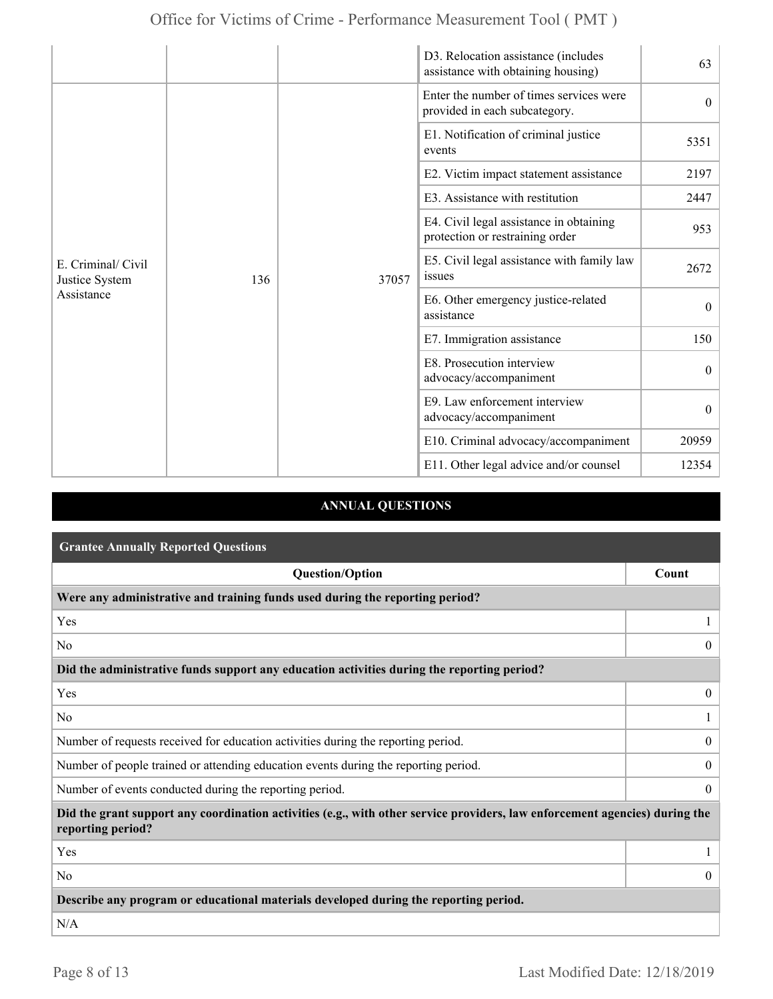|                                                    |     |       | D3. Relocation assistance (includes<br>assistance with obtaining housing)  | 63               |
|----------------------------------------------------|-----|-------|----------------------------------------------------------------------------|------------------|
|                                                    |     |       | Enter the number of times services were<br>provided in each subcategory.   | $\theta$         |
|                                                    |     |       | E1. Notification of criminal justice<br>events                             | 5351             |
|                                                    |     |       | E2. Victim impact statement assistance                                     | 2197             |
|                                                    |     |       | E3. Assistance with restitution                                            | 2447             |
| E. Criminal/ Civil<br>Justice System<br>Assistance |     | 37057 | E4. Civil legal assistance in obtaining<br>protection or restraining order | 953              |
|                                                    | 136 |       | E5. Civil legal assistance with family law<br>issues                       | 2672             |
|                                                    |     |       | E6. Other emergency justice-related<br>assistance                          | $\boldsymbol{0}$ |
|                                                    |     |       | E7. Immigration assistance                                                 | 150              |
|                                                    |     |       | E8. Prosecution interview<br>advocacy/accompaniment                        | $\theta$         |
|                                                    |     |       | E9. Law enforcement interview<br>advocacy/accompaniment                    | $\theta$         |
|                                                    |     |       | E10. Criminal advocacy/accompaniment                                       | 20959            |
|                                                    |     |       | E11. Other legal advice and/or counsel                                     | 12354            |

## **ANNUAL QUESTIONS**

| <b>Grantee Annually Reported Questions</b>                                                                                                       |                  |
|--------------------------------------------------------------------------------------------------------------------------------------------------|------------------|
| <b>Question/Option</b>                                                                                                                           | Count            |
| Were any administrative and training funds used during the reporting period?                                                                     |                  |
| Yes                                                                                                                                              |                  |
| N <sub>0</sub>                                                                                                                                   | $\theta$         |
| Did the administrative funds support any education activities during the reporting period?                                                       |                  |
| Yes                                                                                                                                              | $\overline{0}$   |
| N <sub>0</sub>                                                                                                                                   |                  |
| Number of requests received for education activities during the reporting period.                                                                | $\overline{0}$   |
| Number of people trained or attending education events during the reporting period.                                                              | $\overline{0}$   |
| Number of events conducted during the reporting period.                                                                                          | $\boldsymbol{0}$ |
| Did the grant support any coordination activities (e.g., with other service providers, law enforcement agencies) during the<br>reporting period? |                  |
| Yes                                                                                                                                              |                  |
| N <sub>0</sub>                                                                                                                                   | $\overline{0}$   |
| Describe any program or educational materials developed during the reporting period.                                                             |                  |
| N/A                                                                                                                                              |                  |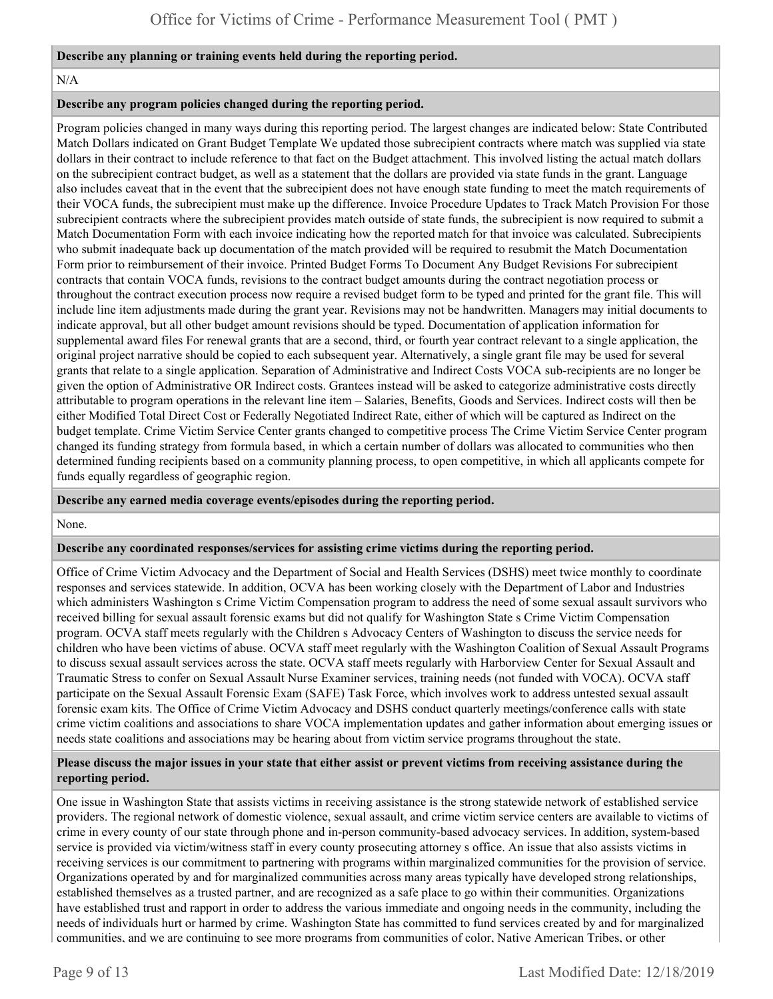#### **Describe any planning or training events held during the reporting period.**

#### N/A

#### **Describe any program policies changed during the reporting period.**

Program policies changed in many ways during this reporting period. The largest changes are indicated below: State Contributed Match Dollars indicated on Grant Budget Template We updated those subrecipient contracts where match was supplied via state dollars in their contract to include reference to that fact on the Budget attachment. This involved listing the actual match dollars on the subrecipient contract budget, as well as a statement that the dollars are provided via state funds in the grant. Language also includes caveat that in the event that the subrecipient does not have enough state funding to meet the match requirements of their VOCA funds, the subrecipient must make up the difference. Invoice Procedure Updates to Track Match Provision For those subrecipient contracts where the subrecipient provides match outside of state funds, the subrecipient is now required to submit a Match Documentation Form with each invoice indicating how the reported match for that invoice was calculated. Subrecipients who submit inadequate back up documentation of the match provided will be required to resubmit the Match Documentation Form prior to reimbursement of their invoice. Printed Budget Forms To Document Any Budget Revisions For subrecipient contracts that contain VOCA funds, revisions to the contract budget amounts during the contract negotiation process or throughout the contract execution process now require a revised budget form to be typed and printed for the grant file. This will include line item adjustments made during the grant year. Revisions may not be handwritten. Managers may initial documents to indicate approval, but all other budget amount revisions should be typed. Documentation of application information for supplemental award files For renewal grants that are a second, third, or fourth year contract relevant to a single application, the original project narrative should be copied to each subsequent year. Alternatively, a single grant file may be used for several grants that relate to a single application. Separation of Administrative and Indirect Costs VOCA sub-recipients are no longer be given the option of Administrative OR Indirect costs. Grantees instead will be asked to categorize administrative costs directly attributable to program operations in the relevant line item – Salaries, Benefits, Goods and Services. Indirect costs will then be either Modified Total Direct Cost or Federally Negotiated Indirect Rate, either of which will be captured as Indirect on the budget template. Crime Victim Service Center grants changed to competitive process The Crime Victim Service Center program changed its funding strategy from formula based, in which a certain number of dollars was allocated to communities who then determined funding recipients based on a community planning process, to open competitive, in which all applicants compete for funds equally regardless of geographic region.

#### **Describe any earned media coverage events/episodes during the reporting period.**

None.

#### **Describe any coordinated responses/services for assisting crime victims during the reporting period.**

Office of Crime Victim Advocacy and the Department of Social and Health Services (DSHS) meet twice monthly to coordinate responses and services statewide. In addition, OCVA has been working closely with the Department of Labor and Industries which administers Washington s Crime Victim Compensation program to address the need of some sexual assault survivors who received billing for sexual assault forensic exams but did not qualify for Washington State s Crime Victim Compensation program. OCVA staff meets regularly with the Children s Advocacy Centers of Washington to discuss the service needs for children who have been victims of abuse. OCVA staff meet regularly with the Washington Coalition of Sexual Assault Programs to discuss sexual assault services across the state. OCVA staff meets regularly with Harborview Center for Sexual Assault and Traumatic Stress to confer on Sexual Assault Nurse Examiner services, training needs (not funded with VOCA). OCVA staff participate on the Sexual Assault Forensic Exam (SAFE) Task Force, which involves work to address untested sexual assault forensic exam kits. The Office of Crime Victim Advocacy and DSHS conduct quarterly meetings/conference calls with state crime victim coalitions and associations to share VOCA implementation updates and gather information about emerging issues or needs state coalitions and associations may be hearing about from victim service programs throughout the state.

#### **Please discuss the major issues in your state that either assist or prevent victims from receiving assistance during the reporting period.**

One issue in Washington State that assists victims in receiving assistance is the strong statewide network of established service providers. The regional network of domestic violence, sexual assault, and crime victim service centers are available to victims of crime in every county of our state through phone and in-person community-based advocacy services. In addition, system-based service is provided via victim/witness staff in every county prosecuting attorney s office. An issue that also assists victims in receiving services is our commitment to partnering with programs within marginalized communities for the provision of service. Organizations operated by and for marginalized communities across many areas typically have developed strong relationships, established themselves as a trusted partner, and are recognized as a safe place to go within their communities. Organizations have established trust and rapport in order to address the various immediate and ongoing needs in the community, including the needs of individuals hurt or harmed by crime. Washington State has committed to fund services created by and for marginalized communities, and we are continuing to see more programs from communities of color, Native American Tribes, or other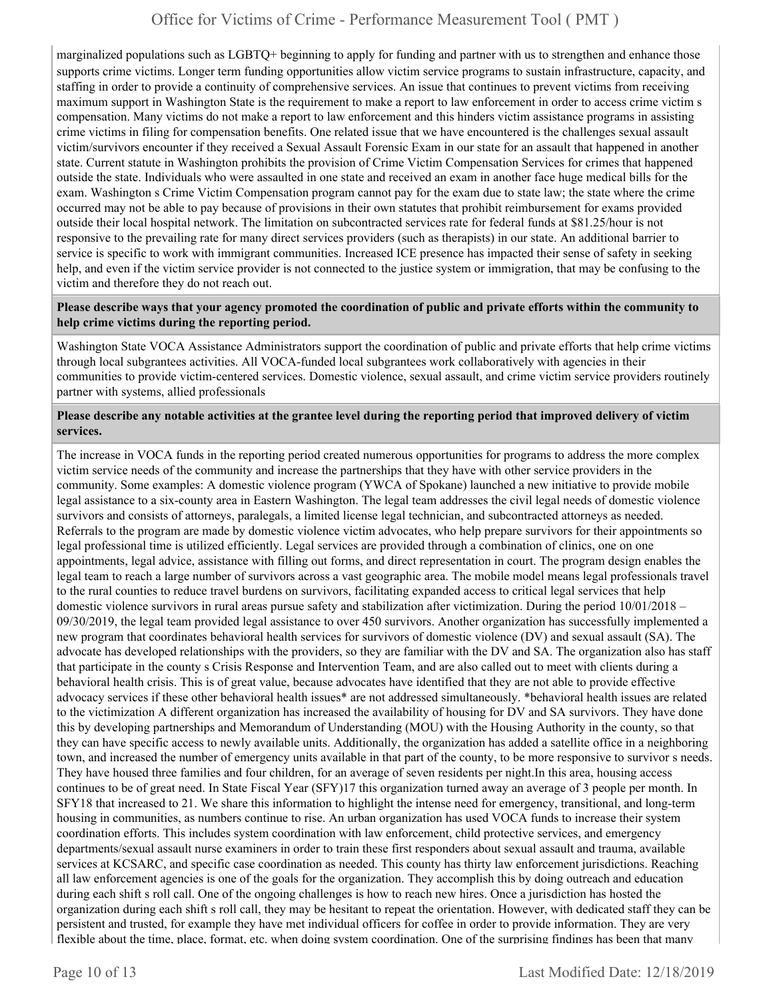marginalized populations such as LGBTQ+ beginning to apply for funding and partner with us to strengthen and enhance those supports crime victims. Longer term funding opportunities allow victim service programs to sustain infrastructure, capacity, and staffing in order to provide a continuity of comprehensive services. An issue that continues to prevent victims from receiving maximum support in Washington State is the requirement to make a report to law enforcement in order to access crime victim s compensation. Many victims do not make a report to law enforcement and this hinders victim assistance programs in assisting crime victims in filing for compensation benefits. One related issue that we have encountered is the challenges sexual assault victim/survivors encounter if they received a Sexual Assault Forensic Exam in our state for an assault that happened in another state. Current statute in Washington prohibits the provision of Crime Victim Compensation Services for crimes that happened outside the state. Individuals who were assaulted in one state and received an exam in another face huge medical bills for the exam. Washington s Crime Victim Compensation program cannot pay for the exam due to state law; the state where the crime occurred may not be able to pay because of provisions in their own statutes that prohibit reimbursement for exams provided outside their local hospital network. The limitation on subcontracted services rate for federal funds at \$81.25/hour is not responsive to the prevailing rate for many direct services providers (such as therapists) in our state. An additional barrier to service is specific to work with immigrant communities. Increased ICE presence has impacted their sense of safety in seeking help, and even if the victim service provider is not connected to the justice system or immigration, that may be confusing to the victim and therefore they do not reach out.

#### **Please describe ways that your agency promoted the coordination of public and private efforts within the community to help crime victims during the reporting period.**

Washington State VOCA Assistance Administrators support the coordination of public and private efforts that help crime victims through local subgrantees activities. All VOCA-funded local subgrantees work collaboratively with agencies in their communities to provide victim-centered services. Domestic violence, sexual assault, and crime victim service providers routinely partner with systems, allied professionals

#### **Please describe any notable activities at the grantee level during the reporting period that improved delivery of victim services.**

The increase in VOCA funds in the reporting period created numerous opportunities for programs to address the more complex victim service needs of the community and increase the partnerships that they have with other service providers in the community. Some examples: A domestic violence program (YWCA of Spokane) launched a new initiative to provide mobile legal assistance to a six-county area in Eastern Washington. The legal team addresses the civil legal needs of domestic violence survivors and consists of attorneys, paralegals, a limited license legal technician, and subcontracted attorneys as needed. Referrals to the program are made by domestic violence victim advocates, who help prepare survivors for their appointments so legal professional time is utilized efficiently. Legal services are provided through a combination of clinics, one on one appointments, legal advice, assistance with filling out forms, and direct representation in court. The program design enables the legal team to reach a large number of survivors across a vast geographic area. The mobile model means legal professionals travel to the rural counties to reduce travel burdens on survivors, facilitating expanded access to critical legal services that help domestic violence survivors in rural areas pursue safety and stabilization after victimization. During the period 10/01/2018 – 09/30/2019, the legal team provided legal assistance to over 450 survivors. Another organization has successfully implemented a new program that coordinates behavioral health services for survivors of domestic violence (DV) and sexual assault (SA). The advocate has developed relationships with the providers, so they are familiar with the DV and SA. The organization also has staff that participate in the county s Crisis Response and Intervention Team, and are also called out to meet with clients during a behavioral health crisis. This is of great value, because advocates have identified that they are not able to provide effective advocacy services if these other behavioral health issues\* are not addressed simultaneously. \*behavioral health issues are related to the victimization A different organization has increased the availability of housing for DV and SA survivors. They have done this by developing partnerships and Memorandum of Understanding (MOU) with the Housing Authority in the county, so that they can have specific access to newly available units. Additionally, the organization has added a satellite office in a neighboring town, and increased the number of emergency units available in that part of the county, to be more responsive to survivor s needs. They have housed three families and four children, for an average of seven residents per [night.In](https://night.In) this area, housing access continues to be of great need. In State Fiscal Year (SFY)17 this organization turned away an average of 3 people per month. In SFY18 that increased to 21. We share this information to highlight the intense need for emergency, transitional, and long-term housing in communities, as numbers continue to rise. An urban organization has used VOCA funds to increase their system coordination efforts. This includes system coordination with law enforcement, child protective services, and emergency departments/sexual assault nurse examiners in order to train these first responders about sexual assault and trauma, available services at KCSARC, and specific case coordination as needed. This county has thirty law enforcement jurisdictions. Reaching all law enforcement agencies is one of the goals for the organization. They accomplish this by doing outreach and education during each shift s roll call. One of the ongoing challenges is how to reach new hires. Once a jurisdiction has hosted the organization during each shift s roll call, they may be hesitant to repeat the orientation. However, with dedicated staff they can be persistent and trusted, for example they have met individual officers for coffee in order to provide information. They are very flexible about the time, place, format, etc. when doing system coordination. One of the surprising findings has been that many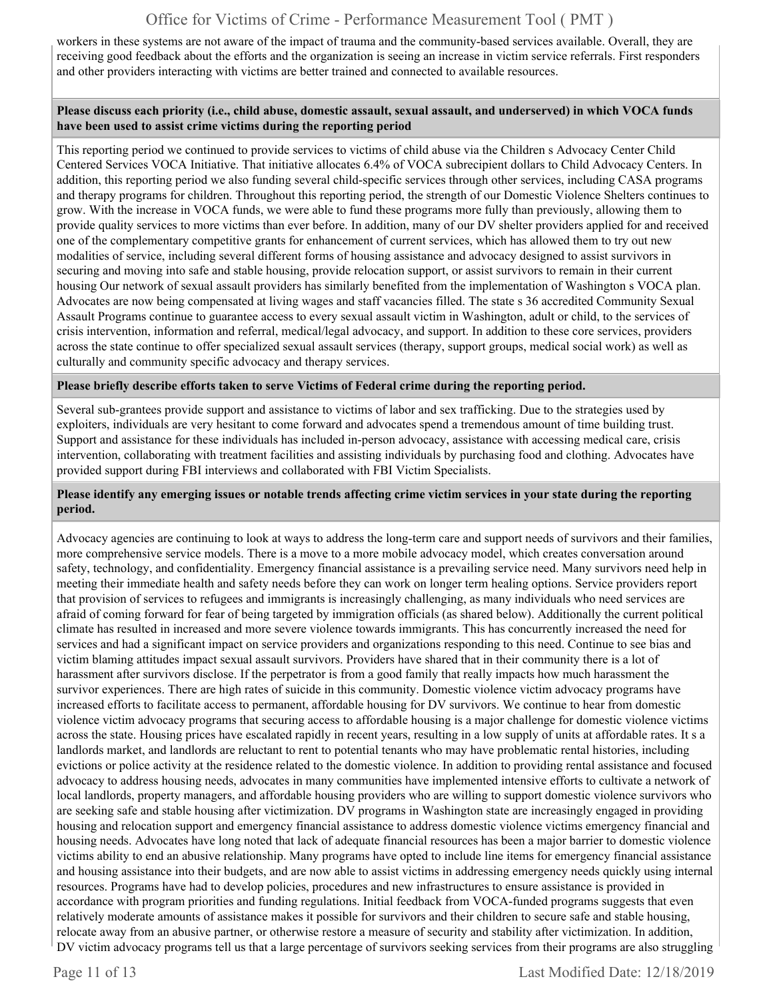workers in these systems are not aware of the impact of trauma and the community-based services available. Overall, they are receiving good feedback about the efforts and the organization is seeing an increase in victim service referrals. First responders and other providers interacting with victims are better trained and connected to available resources.

#### **Please discuss each priority (i.e., child abuse, domestic assault, sexual assault, and underserved) in which VOCA funds have been used to assist crime victims during the reporting period**

This reporting period we continued to provide services to victims of child abuse via the Children s Advocacy Center Child Centered Services VOCA Initiative. That initiative allocates 6.4% of VOCA subrecipient dollars to Child Advocacy Centers. In addition, this reporting period we also funding several child-specific services through other services, including CASA programs and therapy programs for children. Throughout this reporting period, the strength of our Domestic Violence Shelters continues to grow. With the increase in VOCA funds, we were able to fund these programs more fully than previously, allowing them to provide quality services to more victims than ever before. In addition, many of our DV shelter providers applied for and received one of the complementary competitive grants for enhancement of current services, which has allowed them to try out new modalities of service, including several different forms of housing assistance and advocacy designed to assist survivors in securing and moving into safe and stable housing, provide relocation support, or assist survivors to remain in their current housing Our network of sexual assault providers has similarly benefited from the implementation of Washington s VOCA plan. Advocates are now being compensated at living wages and staff vacancies filled. The state s 36 accredited Community Sexual Assault Programs continue to guarantee access to every sexual assault victim in Washington, adult or child, to the services of crisis intervention, information and referral, medical/legal advocacy, and support. In addition to these core services, providers across the state continue to offer specialized sexual assault services (therapy, support groups, medical social work) as well as culturally and community specific advocacy and therapy services.

#### **Please briefly describe efforts taken to serve Victims of Federal crime during the reporting period.**

Several sub-grantees provide support and assistance to victims of labor and sex trafficking. Due to the strategies used by exploiters, individuals are very hesitant to come forward and advocates spend a tremendous amount of time building trust. Support and assistance for these individuals has included in-person advocacy, assistance with accessing medical care, crisis intervention, collaborating with treatment facilities and assisting individuals by purchasing food and clothing. Advocates have provided support during FBI interviews and collaborated with FBI Victim Specialists.

#### **Please identify any emerging issues or notable trends affecting crime victim services in your state during the reporting period.**

Advocacy agencies are continuing to look at ways to address the long-term care and support needs of survivors and their families, more comprehensive service models. There is a move to a more mobile advocacy model, which creates conversation around safety, technology, and confidentiality. Emergency financial assistance is a prevailing service need. Many survivors need help in meeting their immediate health and safety needs before they can work on longer term healing options. Service providers report that provision of services to refugees and immigrants is increasingly challenging, as many individuals who need services are afraid of coming forward for fear of being targeted by immigration officials (as shared below). Additionally the current political climate has resulted in increased and more severe violence towards immigrants. This has concurrently increased the need for services and had a significant impact on service providers and organizations responding to this need. Continue to see bias and victim blaming attitudes impact sexual assault survivors. Providers have shared that in their community there is a lot of harassment after survivors disclose. If the perpetrator is from a good family that really impacts how much harassment the survivor experiences. There are high rates of suicide in this community. Domestic violence victim advocacy programs have increased efforts to facilitate access to permanent, affordable housing for DV survivors. We continue to hear from domestic violence victim advocacy programs that securing access to affordable housing is a major challenge for domestic violence victims across the state. Housing prices have escalated rapidly in recent years, resulting in a low supply of units at affordable rates. It s a landlords market, and landlords are reluctant to rent to potential tenants who may have problematic rental histories, including evictions or police activity at the residence related to the domestic violence. In addition to providing rental assistance and focused advocacy to address housing needs, advocates in many communities have implemented intensive efforts to cultivate a network of local landlords, property managers, and affordable housing providers who are willing to support domestic violence survivors who are seeking safe and stable housing after victimization. DV programs in Washington state are increasingly engaged in providing housing and relocation support and emergency financial assistance to address domestic violence victims emergency financial and housing needs. Advocates have long noted that lack of adequate financial resources has been a major barrier to domestic violence victims ability to end an abusive relationship. Many programs have opted to include line items for emergency financial assistance and housing assistance into their budgets, and are now able to assist victims in addressing emergency needs quickly using internal resources. Programs have had to develop policies, procedures and new infrastructures to ensure assistance is provided in accordance with program priorities and funding regulations. Initial feedback from VOCA-funded programs suggests that even relatively moderate amounts of assistance makes it possible for survivors and their children to secure safe and stable housing, relocate away from an abusive partner, or otherwise restore a measure of security and stability after victimization. In addition, DV victim advocacy programs tell us that a large percentage of survivors seeking services from their programs are also struggling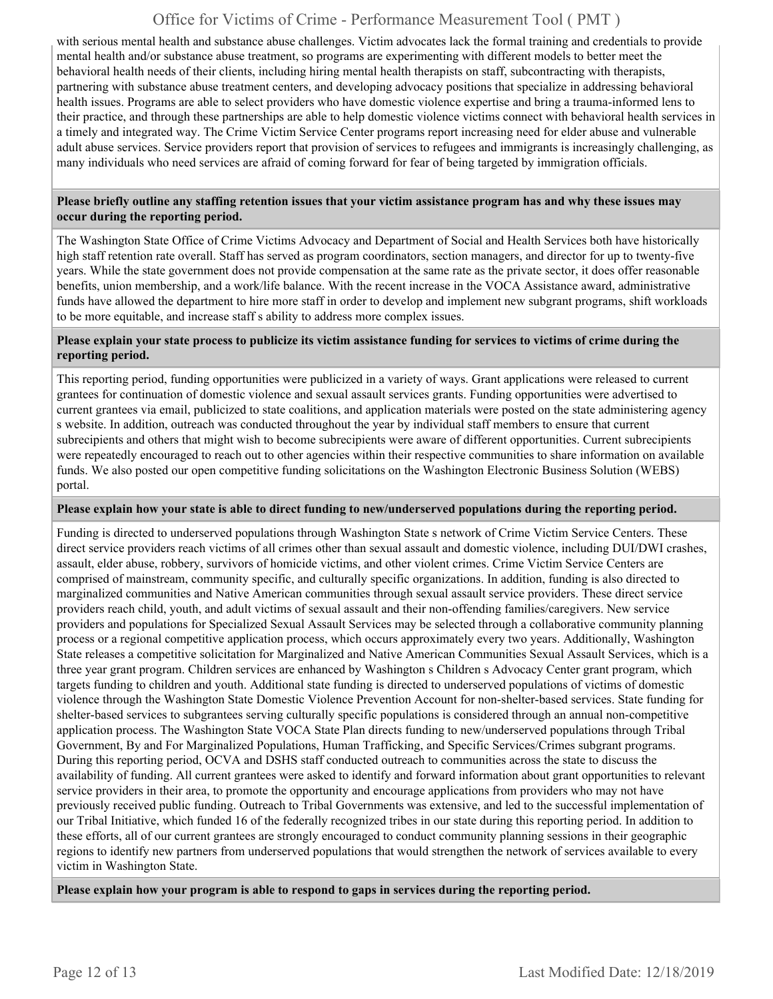with serious mental health and substance abuse challenges. Victim advocates lack the formal training and credentials to provide mental health and/or substance abuse treatment, so programs are experimenting with different models to better meet the behavioral health needs of their clients, including hiring mental health therapists on staff, subcontracting with therapists, partnering with substance abuse treatment centers, and developing advocacy positions that specialize in addressing behavioral health issues. Programs are able to select providers who have domestic violence expertise and bring a trauma-informed lens to their practice, and through these partnerships are able to help domestic violence victims connect with behavioral health services in a timely and integrated way. The Crime Victim Service Center programs report increasing need for elder abuse and vulnerable adult abuse services. Service providers report that provision of services to refugees and immigrants is increasingly challenging, as many individuals who need services are afraid of coming forward for fear of being targeted by immigration officials.

#### **Please briefly outline any staffing retention issues that your victim assistance program has and why these issues may occur during the reporting period.**

The Washington State Office of Crime Victims Advocacy and Department of Social and Health Services both have historically high staff retention rate overall. Staff has served as program coordinators, section managers, and director for up to twenty-five years. While the state government does not provide compensation at the same rate as the private sector, it does offer reasonable benefits, union membership, and a work/life balance. With the recent increase in the VOCA Assistance award, administrative funds have allowed the department to hire more staff in order to develop and implement new subgrant programs, shift workloads to be more equitable, and increase staff s ability to address more complex issues.

#### **Please explain your state process to publicize its victim assistance funding for services to victims of crime during the reporting period.**

This reporting period, funding opportunities were publicized in a variety of ways. Grant applications were released to current grantees for continuation of domestic violence and sexual assault services grants. Funding opportunities were advertised to current grantees via email, publicized to state coalitions, and application materials were posted on the state administering agency s website. In addition, outreach was conducted throughout the year by individual staff members to ensure that current subrecipients and others that might wish to become subrecipients were aware of different opportunities. Current subrecipients were repeatedly encouraged to reach out to other agencies within their respective communities to share information on available funds. We also posted our open competitive funding solicitations on the Washington Electronic Business Solution (WEBS) portal.

#### **Please explain how your state is able to direct funding to new/underserved populations during the reporting period.**

Funding is directed to underserved populations through Washington State s network of Crime Victim Service Centers. These direct service providers reach victims of all crimes other than sexual assault and domestic violence, including DUI/DWI crashes, assault, elder abuse, robbery, survivors of homicide victims, and other violent crimes. Crime Victim Service Centers are comprised of mainstream, community specific, and culturally specific organizations. In addition, funding is also directed to marginalized communities and Native American communities through sexual assault service providers. These direct service providers reach child, youth, and adult victims of sexual assault and their non-offending families/caregivers. New service providers and populations for Specialized Sexual Assault Services may be selected through a collaborative community planning process or a regional competitive application process, which occurs approximately every two years. Additionally, Washington State releases a competitive solicitation for Marginalized and Native American Communities Sexual Assault Services, which is a three year grant program. Children services are enhanced by Washington s Children s Advocacy Center grant program, which targets funding to children and youth. Additional state funding is directed to underserved populations of victims of domestic violence through the Washington State Domestic Violence Prevention Account for non-shelter-based services. State funding for shelter-based services to subgrantees serving culturally specific populations is considered through an annual non-competitive application process. The Washington State VOCA State Plan directs funding to new/underserved populations through Tribal Government, By and For Marginalized Populations, Human Trafficking, and Specific Services/Crimes subgrant programs. During this reporting period, OCVA and DSHS staff conducted outreach to communities across the state to discuss the availability of funding. All current grantees were asked to identify and forward information about grant opportunities to relevant service providers in their area, to promote the opportunity and encourage applications from providers who may not have previously received public funding. Outreach to Tribal Governments was extensive, and led to the successful implementation of our Tribal Initiative, which funded 16 of the federally recognized tribes in our state during this reporting period. In addition to these efforts, all of our current grantees are strongly encouraged to conduct community planning sessions in their geographic regions to identify new partners from underserved populations that would strengthen the network of services available to every victim in Washington State.

**Please explain how your program is able to respond to gaps in services during the reporting period.**